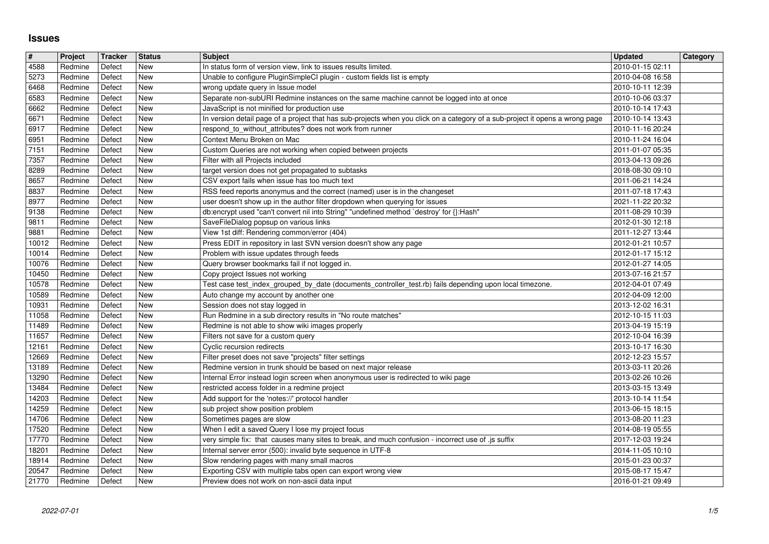## **Issues**

| $\sqrt{\frac{4}{15}}$ | Project            | Tracker          | <b>Status</b>     | <b>Subject</b>                                                                                                                                            | <b>Updated</b>                       | <b>Category</b> |
|-----------------------|--------------------|------------------|-------------------|-----------------------------------------------------------------------------------------------------------------------------------------------------------|--------------------------------------|-----------------|
| $\sqrt{4588}$         | Redmine            | Defect           | New               | In status form of version view, link to issues results limited.                                                                                           | 2010-01-15 02:11                     |                 |
| 5273<br>6468          | Redmine<br>Redmine | Defect<br>Defect | New<br>New        | Unable to configure PluginSimpleCI plugin - custom fields list is empty<br>wrong update query in Issue model                                              | 2010-04-08 16:58<br>2010-10-11 12:39 |                 |
| 6583                  | Redmine            | Defect           | <b>New</b>        | Separate non-subURI Redmine instances on the same machine cannot be logged into at once                                                                   | 2010-10-06 03:37                     |                 |
| 6662                  | Redmine            | Defect           | <b>New</b>        | JavaScript is not minified for production use                                                                                                             | 2010-10-14 17:43                     |                 |
| 6671                  | Redmine            | Defect           | <b>New</b>        | In version detail page of a project that has sub-projects when you click on a category of a sub-project it opens a wrong page                             | 2010-10-14 13:43                     |                 |
| 6917<br>6951          | Redmine<br>Redmine | Defect<br>Defect | New<br>New        | respond_to_without_attributes? does not work from runner<br>Context Menu Broken on Mac                                                                    | 2010-11-16 20:24<br>2010-11-24 16:04 |                 |
| $\sqrt{7151}$         | Redmine            | Defect           | New               | Custom Queries are not working when copied between projects                                                                                               | 2011-01-07 05:35                     |                 |
| 7357                  | Redmine            | Defect           | New               | Filter with all Projects included                                                                                                                         | 2013-04-13 09:26                     |                 |
| 8289                  | Redmine            | Defect           | New               | target version does not get propagated to subtasks                                                                                                        | 2018-08-30 09:10                     |                 |
| 8657                  | Redmine            | Defect           | New               | CSV export fails when issue has too much text                                                                                                             | 2011-06-21 14:24                     |                 |
| 8837<br>8977          | Redmine<br>Redmine | Defect<br>Defect | New<br>New        | RSS feed reports anonymus and the correct (named) user is in the changeset<br>user doesn't show up in the author filter dropdown when querying for issues | 2011-07-18 17:43<br>2021-11-22 20:32 |                 |
| 9138                  | Redmine            | Defect           | New               | db:encrypt used "can't convert nil into String" "undefined method `destroy' for {}:Hash"                                                                  | 2011-08-29 10:39                     |                 |
| 9811                  | Redmine            | Defect           | New               | SaveFileDialog popsup on various links                                                                                                                    | 2012-01-30 12:18                     |                 |
| 9881                  | Redmine            | Defect           | New               | View 1st diff: Rendering common/error (404)                                                                                                               | 2011-12-27 13:44                     |                 |
| $10012$<br>10014      | Redmine<br>Redmine | Defect<br>Defect | New<br>New        | Press EDIT in repository in last SVN version doesn't show any page<br>Problem with issue updates through feeds                                            | 2012-01-21 10:57<br>2012-01-17 15:12 |                 |
| 10076                 | Redmine            | Defect           | <b>New</b>        | Query browser bookmarks fail if not logged in.                                                                                                            | 2012-01-27 14:05                     |                 |
| 10450                 | Redmine            | Defect           | New               | Copy project Issues not working                                                                                                                           | 2013-07-16 21:57                     |                 |
| 10578                 | Redmine            | Defect           | New               | Test case test_index_grouped_by_date (documents_controller_test.rb) fails depending upon local timezone.                                                  | 2012-04-01 07:49                     |                 |
| 10589<br>10931        | Redmine<br>Redmine | Defect<br>Defect | New<br><b>New</b> | Auto change my account by another one<br>Session does not stay logged in                                                                                  | 2012-04-09 12:00<br>2013-12-02 16:31 |                 |
| 11058                 | Redmine            | Defect           | <b>New</b>        | Run Redmine in a sub directory results in "No route matches"                                                                                              | 2012-10-15 11:03                     |                 |
| 11489                 | Redmine            | Defect           | New               | Redmine is not able to show wiki images properly                                                                                                          | 2013-04-19 15:19                     |                 |
| 11657                 | Redmine            | Defect           | New               | Filters not save for a custom query                                                                                                                       | 2012-10-04 16:39                     |                 |
| 12161                 | Redmine            | Defect           | <b>New</b>        | Cyclic recursion redirects                                                                                                                                | 2013-10-17 16:30                     |                 |
| 12669<br>13189        | Redmine<br>Redmine | Defect<br>Defect | New<br>New        | Filter preset does not save "projects" filter settings<br>Redmine version in trunk should be based on next major release                                  | 2012-12-23 15:57<br>2013-03-11 20:26 |                 |
| 13290                 | Redmine            | Defect           | New               | Internal Error instead login screen when anonymous user is redirected to wiki page                                                                        | 2013-02-26 10:26                     |                 |
| 13484                 | Redmine            | Defect           | <b>New</b>        | restricted access folder in a redmine project                                                                                                             | 2013-03-15 13:49                     |                 |
| 14203                 | Redmine            | Defect           | <b>New</b>        | Add support for the 'notes://' protocol handler<br>sub project show position problem                                                                      | 2013-10-14 11:54                     |                 |
| 14259<br>14706        | Redmine<br>Redmine | Defect<br>Defect | <b>New</b><br>New | Sometimes pages are slow                                                                                                                                  | 2013-06-15 18:15<br>2013-08-20 11:23 |                 |
| 17520                 | Redmine            | Defect           | New               | When I edit a saved Query I lose my project focus                                                                                                         | 2014-08-19 05:55                     |                 |
| 17770                 | Redmine            | Defect           | <b>New</b>        | very simple fix: that causes many sites to break, and much confusion - incorrect use of .js suffix                                                        | 2017-12-03 19:24                     |                 |
| 18201<br>18914        | Redmine<br>Redmine | Defect<br>Defect | New<br>New        | Internal server error (500): invalid byte sequence in UTF-8<br>Slow rendering pages with many small macros                                                | 2014-11-05 10:10<br>2015-01-23 00:37 |                 |
| 20547                 | Redmine            | Defect           | New               | Exporting CSV with multiple tabs open can export wrong view                                                                                               | 2015-08-17 15:47                     |                 |
| 21770                 | Redmine            | Defect           | New               | Preview does not work on non-ascii data input                                                                                                             | 2016-01-21 09:49                     |                 |
|                       |                    |                  |                   |                                                                                                                                                           |                                      |                 |
|                       |                    |                  |                   |                                                                                                                                                           |                                      |                 |
|                       |                    |                  |                   |                                                                                                                                                           |                                      |                 |
|                       |                    |                  |                   |                                                                                                                                                           |                                      |                 |
|                       |                    |                  |                   |                                                                                                                                                           |                                      |                 |
|                       |                    |                  |                   |                                                                                                                                                           |                                      |                 |
|                       |                    |                  |                   |                                                                                                                                                           |                                      |                 |
|                       |                    |                  |                   |                                                                                                                                                           |                                      |                 |
|                       |                    |                  |                   |                                                                                                                                                           |                                      |                 |
|                       |                    |                  |                   |                                                                                                                                                           |                                      |                 |
|                       |                    |                  |                   |                                                                                                                                                           |                                      |                 |
|                       |                    |                  |                   |                                                                                                                                                           |                                      |                 |
|                       |                    |                  |                   |                                                                                                                                                           |                                      |                 |
|                       |                    |                  |                   |                                                                                                                                                           |                                      |                 |
|                       |                    |                  |                   |                                                                                                                                                           |                                      |                 |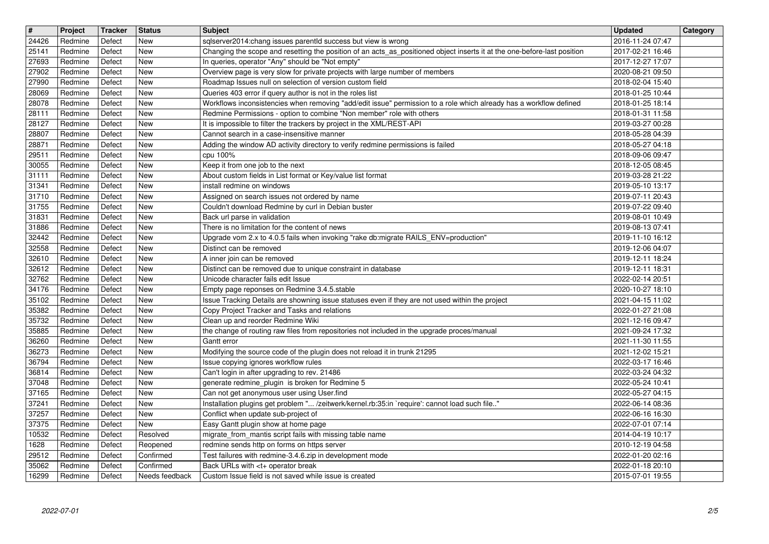| $\overline{\boldsymbol{H}}$ | Project | Tracker | <b>Status</b>  | <b>Subject</b>                                                                                                           | <b>Updated</b>   | Category |
|-----------------------------|---------|---------|----------------|--------------------------------------------------------------------------------------------------------------------------|------------------|----------|
| 24426                       | Redmine | Defect  | New            | sqlserver2014:chang issues parentId success but view is wrong                                                            | 2016-11-24 07:47 |          |
| 25141                       | Redmine | Defect  | <b>New</b>     | Changing the scope and resetting the position of an acts_as_positioned object inserts it at the one-before-last position | 2017-02-21 16:46 |          |
| 27693                       | Redmine | Defect  | <b>New</b>     | In queries, operator "Any" should be "Not empty"                                                                         | 2017-12-27 17:07 |          |
| 27902                       | Redmine | Defect  | <b>New</b>     | Overview page is very slow for private projects with large number of members                                             | 2020-08-21 09:50 |          |
| 27990                       | Redmine | Defect  | <b>New</b>     | Roadmap Issues null on selection of version custom field                                                                 | 2018-02-04 15:40 |          |
| 28069                       | Redmine | Defect  | <b>New</b>     | Queries 403 error if query author is not in the roles list                                                               | 2018-01-25 10:44 |          |
| 28078                       | Redmine | Defect  | <b>New</b>     | Workflows inconsistencies when removing "add/edit issue" permission to a role which already has a workflow defined       | 2018-01-25 18:14 |          |
| 28111                       | Redmine | Defect  | <b>New</b>     | Redmine Permissions - option to combine "Non member" role with others                                                    | 2018-01-31 11:58 |          |
| 28127                       | Redmine | Defect  | New            | It is impossible to filter the trackers by project in the XML/REST-API                                                   | 2019-03-27 00:28 |          |
| 28807                       | Redmine | Defect  | New            | Cannot search in a case-insensitive manner                                                                               | 2018-05-28 04:39 |          |
| 28871                       | Redmine | Defect  | <b>New</b>     | Adding the window AD activity directory to verify redmine permissions is failed                                          | 2018-05-27 04:18 |          |
| 29511                       | Redmine | Defect  | <b>New</b>     | cpu 100%                                                                                                                 | 2018-09-06 09:47 |          |
| 30055                       | Redmine | Defect  | <b>New</b>     | Keep it from one job to the next                                                                                         | 2018-12-05 08:45 |          |
| 31111                       | Redmine | Defect  | <b>New</b>     | About custom fields in List format or Key/value list format                                                              | 2019-03-28 21:22 |          |
| 31341                       | Redmine | Defect  | <b>New</b>     | install redmine on windows                                                                                               | 2019-05-10 13:17 |          |
| 31710                       | Redmine | Defect  | New            | Assigned on search issues not ordered by name                                                                            | 2019-07-11 20:43 |          |
| 31755                       | Redmine | Defect  | <b>New</b>     | Couldn't download Redmine by curl in Debian buster                                                                       | 2019-07-22 09:40 |          |
| 31831                       | Redmine | Defect  | <b>New</b>     | Back url parse in validation                                                                                             | 2019-08-01 10:49 |          |
| 31886                       | Redmine | Defect  | New            | There is no limitation for the content of news                                                                           | 2019-08-13 07:41 |          |
| 32442                       | Redmine | Defect  | <b>New</b>     | Upgrade vom 2.x to 4.0.5 fails when invoking "rake db:migrate RAILS_ENV=production"                                      | 2019-11-10 16:12 |          |
| 32558                       | Redmine | Defect  | New            | Distinct can be removed                                                                                                  | 2019-12-06 04:07 |          |
| 32610                       | Redmine | Defect  | New            | A inner join can be removed                                                                                              | 2019-12-11 18:24 |          |
| 32612                       | Redmine | Defect  | <b>New</b>     | Distinct can be removed due to unique constraint in database                                                             | 2019-12-11 18:31 |          |
| 32762                       | Redmine | Defect  | <b>New</b>     | Unicode character fails edit Issue                                                                                       | 2022-02-14 20:51 |          |
| 34176                       | Redmine | Defect  | <b>New</b>     | Empty page reponses on Redmine 3.4.5.stable                                                                              | 2020-10-27 18:10 |          |
| 35102                       | Redmine | Defect  | <b>New</b>     | Issue Tracking Details are showning issue statuses even if they are not used within the project                          | 2021-04-15 11:02 |          |
| 35382                       | Redmine | Defect  | <b>New</b>     | Copy Project Tracker and Tasks and relations                                                                             | 2022-01-27 21:08 |          |
| 35732                       | Redmine | Defect  | <b>New</b>     | Clean up and reorder Redmine Wiki                                                                                        | 2021-12-16 09:47 |          |
| 35885                       | Redmine | Defect  | <b>New</b>     | the change of routing raw files from repositories not included in the upgrade proces/manual                              | 2021-09-24 17:32 |          |
| 36260                       | Redmine | Defect  | New            | Gantt error                                                                                                              | 2021-11-30 11:55 |          |
| 36273                       | Redmine | Defect  | New            | Modifying the source code of the plugin does not reload it in trunk 21295                                                | 2021-12-02 15:21 |          |
| 36794                       | Redmine | Defect  | New            | Issue copying ignores workflow rules                                                                                     | 2022-03-17 16:46 |          |
| 36814                       | Redmine | Defect  | <b>New</b>     | Can't login in after upgrading to rev. 21486                                                                             | 2022-03-24 04:32 |          |
| 37048                       | Redmine | Defect  | New            | generate redmine_plugin is broken for Redmine 5                                                                          | 2022-05-24 10:41 |          |
| 37165                       | Redmine | Defect  | <b>New</b>     | Can not get anonymous user using User.find                                                                               | 2022-05-27 04:15 |          |
| 37241                       | Redmine | Defect  | <b>New</b>     | Installation plugins get problem " /zeitwerk/kernel.rb:35:in `require': cannot load such file"                           | 2022-06-14 08:36 |          |
| 37257                       | Redmine | Defect  | New            | Conflict when update sub-project of                                                                                      | 2022-06-16 16:30 |          |
| 37375                       | Redmine | Defect  | New            | Easy Gantt plugin show at home page                                                                                      | 2022-07-01 07:14 |          |
| 10532                       | Redmine | Defect  | Resolved       | migrate_from_mantis script fails with missing table name                                                                 | 2014-04-19 10:17 |          |
| 1628                        | Redmine | Defect  | Reopened       | redmine sends http on forms on https server                                                                              | 2010-12-19 04:58 |          |
| 29512                       | Redmine | Defect  | Confirmed      | Test failures with redmine-3.4.6.zip in development mode                                                                 | 2022-01-20 02:16 |          |
| 35062                       | Redmine | Defect  | Confirmed      | Back URLs with <t+ break<="" operator="" td=""><td>2022-01-18 20:10</td><td></td></t+>                                   | 2022-01-18 20:10 |          |
| 16299                       | Redmine | Defect  | Needs feedback | Custom Issue field is not saved while issue is created                                                                   | 2015-07-01 19:55 |          |
|                             |         |         |                |                                                                                                                          |                  |          |
|                             |         |         |                |                                                                                                                          |                  |          |
|                             |         |         |                |                                                                                                                          |                  |          |
|                             |         |         |                |                                                                                                                          |                  |          |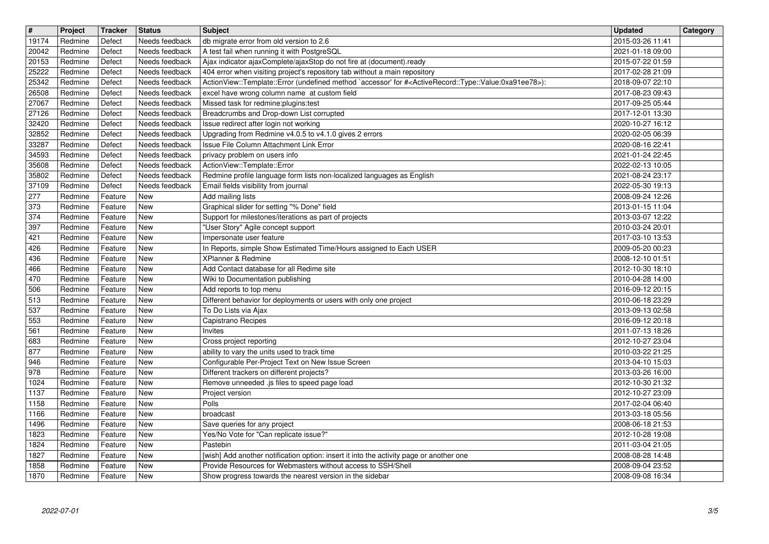| $\overline{\mathbf{t}}$ | Project            | Tracker            | <b>Status</b>                    | <b>Subject</b>                                                                                                                                                                                | <b>Updated</b>                       | Category |
|-------------------------|--------------------|--------------------|----------------------------------|-----------------------------------------------------------------------------------------------------------------------------------------------------------------------------------------------|--------------------------------------|----------|
| 19174<br>20042          | Redmine<br>Redmine | Defect<br>Defect   | Needs feedback<br>Needs feedback | db migrate error from old version to 2.6<br>A test fail when running it with PostgreSQL                                                                                                       | 2015-03-26 11:41<br>2021-01-18 09:00 |          |
| 20153                   | Redmine            | Defect             | Needs feedback                   | Ajax indicator ajaxComplete/ajaxStop do not fire at (document).ready                                                                                                                          | 2015-07-22 01:59                     |          |
| 25222                   | Redmine            | Defect             | Needs feedback                   | 404 error when visiting project's repository tab without a main repository                                                                                                                    | 2017-02-28 21:09                     |          |
| 25342<br>26508          | Redmine<br>Redmine | Defect<br>Defect   | Needs feedback<br>Needs feedback | ActionView::Template::Error (undefined method `accessor' for # <activerecord::type::value:0xa91ee78>):<br/>excel have wrong column name at custom field</activerecord::type::value:0xa91ee78> | 2018-09-07 22:10<br>2017-08-23 09:43 |          |
| 27067                   | Redmine            | Defect             | Needs feedback                   | Missed task for redmine: plugins: test                                                                                                                                                        | 2017-09-25 05:44                     |          |
| 27126<br>32420          | Redmine<br>Redmine | Defect<br>Defect   | Needs feedback<br>Needs feedback | Breadcrumbs and Drop-down List corrupted<br>Issue redirect after login not working                                                                                                            | 2017-12-01 13:30<br>2020-10-27 16:12 |          |
| 32852                   | Redmine            | Defect             | Needs feedback                   | Upgrading from Redmine v4.0.5 to v4.1.0 gives 2 errors                                                                                                                                        | 2020-02-05 06:39                     |          |
| 33287<br>34593          | Redmine<br>Redmine | Defect<br>Defect   | Needs feedback<br>Needs feedback | Issue File Column Attachment Link Error<br>privacy problem on users info                                                                                                                      | 2020-08-16 22:41<br>2021-01-24 22:45 |          |
| 35608                   | Redmine            | Defect             | Needs feedback                   | ActionView::Template::Error                                                                                                                                                                   | 2022-02-13 10:05                     |          |
| 35802                   | Redmine            | Defect             | Needs feedback                   | Redmine profile language form lists non-localized languages as English                                                                                                                        | 2021-08-24 23:17                     |          |
| 37109<br>277            | Redmine<br>Redmine | Defect<br>Feature  | Needs feedback<br>New            | Email fields visibility from journal<br>Add mailing lists                                                                                                                                     | 2022-05-30 19:13<br>2008-09-24 12:26 |          |
| 373                     | Redmine            | Feature            | New                              | Graphical slider for setting "% Done" field                                                                                                                                                   | 2013-01-15 11:04                     |          |
| 374<br>397              | Redmine<br>Redmine | Feature<br>Feature | New<br><b>New</b>                | Support for milestones/iterations as part of projects                                                                                                                                         | 2013-03-07 12:22<br>2010-03-24 20:01 |          |
| 421                     | Redmine            | Feature            | <b>New</b>                       | "User Story" Agile concept support<br>Impersonate user feature                                                                                                                                | 2017-03-10 13:53                     |          |
| 426                     | Redmine            | Feature            | <b>New</b>                       | In Reports, simple Show Estimated Time/Hours assigned to Each USER                                                                                                                            | 2009-05-20 00:23                     |          |
| 436<br>466              | Redmine<br>Redmine | Feature<br>Feature | <b>New</b><br><b>New</b>         | XPlanner & Redmine<br>Add Contact database for all Redime site                                                                                                                                | 2008-12-10 01:51<br>2012-10-30 18:10 |          |
| 470                     | Redmine            | Feature            | <b>New</b>                       | Wiki to Documentation publishing                                                                                                                                                              | 2010-04-28 14:00                     |          |
| 506                     | Redmine            | Feature            | <b>New</b>                       | Add reports to top menu                                                                                                                                                                       | 2016-09-12 20:15                     |          |
| 513<br>537              | Redmine<br>Redmine | Feature<br>Feature | <b>New</b><br>New                | Different behavior for deployments or users with only one project<br>To Do Lists via Ajax                                                                                                     | 2010-06-18 23:29<br>2013-09-13 02:58 |          |
| 553                     | Redmine            | Feature            | <b>New</b>                       | Capistrano Recipes                                                                                                                                                                            | 2016-09-12 20:18                     |          |
| 561                     | Redmine            | Feature            | <b>New</b>                       | Invites                                                                                                                                                                                       | 2011-07-13 18:26                     |          |
| 683<br>877              | Redmine<br>Redmine | Feature<br>Feature | <b>New</b><br><b>New</b>         | Cross project reporting<br>ability to vary the units used to track time                                                                                                                       | 2012-10-27 23:04<br>2010-03-22 21:25 |          |
| 946                     | Redmine            | Feature            | <b>New</b>                       | Configurable Per-Project Text on New Issue Screen                                                                                                                                             | 2013-04-10 15:03                     |          |
| 978                     | Redmine            | Feature            | New                              | Different trackers on different projects?                                                                                                                                                     | 2013-03-26 16:00<br>2012-10-30 21:32 |          |
| 1024<br>1137            | Redmine<br>Redmine | Feature<br>Feature | New<br>New                       | Remove unneeded .js files to speed page load<br>Project version                                                                                                                               | 2012-10-27 23:09                     |          |
| 1158                    | Redmine            | Feature            | New                              | Polls                                                                                                                                                                                         | 2017-02-04 06:40                     |          |
| 1166<br>1496            | Redmine<br>Redmine | Feature<br>Feature | New<br>New                       | broadcast<br>Save queries for any project                                                                                                                                                     | 2013-03-18 05:56<br>2008-06-18 21:53 |          |
| 1823                    | Redmine            | Feature            | New                              | Yes/No Vote for "Can replicate issue?"                                                                                                                                                        | 2012-10-28 19:08                     |          |
| 1824                    | Redmine            | Feature            | New                              | Pastebin                                                                                                                                                                                      | 2011-03-04 21:05                     |          |
| 1827<br>1858            | Redmine<br>Redmine | Feature<br>Feature | New<br>New                       | [wish] Add another notification option: insert it into the activity page or another one<br>Provide Resources for Webmasters without access to SSH/Shell                                       | 2008-08-28 14:48<br>2008-09-04 23:52 |          |
| 1870                    | Redmine            | Feature            | New                              | Show progress towards the nearest version in the sidebar                                                                                                                                      | 2008-09-08 16:34                     |          |
|                         |                    |                    |                                  |                                                                                                                                                                                               |                                      |          |
|                         |                    |                    |                                  |                                                                                                                                                                                               |                                      |          |
|                         |                    |                    |                                  |                                                                                                                                                                                               |                                      |          |
|                         |                    |                    |                                  |                                                                                                                                                                                               |                                      |          |
|                         |                    |                    |                                  |                                                                                                                                                                                               |                                      |          |
|                         |                    |                    |                                  |                                                                                                                                                                                               |                                      |          |
|                         |                    |                    |                                  |                                                                                                                                                                                               |                                      |          |
|                         |                    |                    |                                  |                                                                                                                                                                                               |                                      |          |
|                         |                    |                    |                                  |                                                                                                                                                                                               |                                      |          |
|                         |                    |                    |                                  |                                                                                                                                                                                               |                                      |          |
|                         |                    |                    |                                  |                                                                                                                                                                                               |                                      |          |
|                         |                    |                    |                                  |                                                                                                                                                                                               |                                      |          |
|                         |                    |                    |                                  |                                                                                                                                                                                               |                                      |          |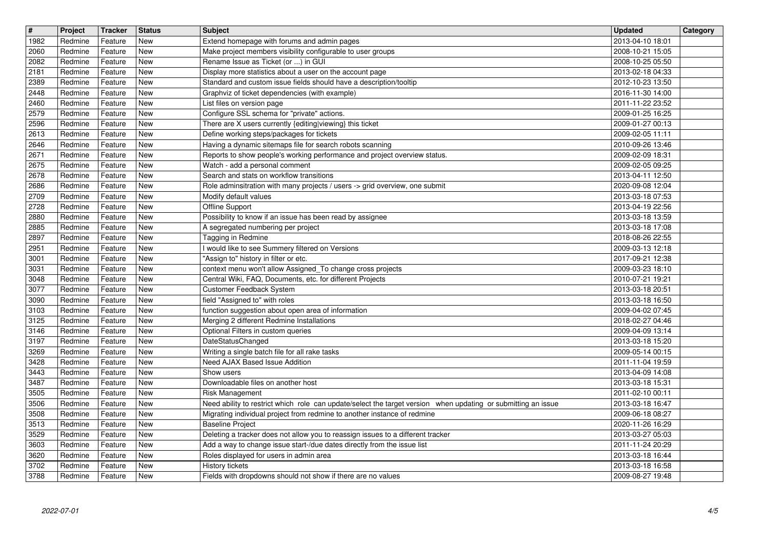| $\boxed{\textcolor{blue}{\#}}$ | Project            | Tracker            | <b>Status</b>            | <b>Subject</b>                                                                                                          | <b>Updated</b>                       | Category |
|--------------------------------|--------------------|--------------------|--------------------------|-------------------------------------------------------------------------------------------------------------------------|--------------------------------------|----------|
| 1982                           | Redmine            | Feature            | New                      | Extend homepage with forums and admin pages                                                                             | 2013-04-10 18:01                     |          |
| 2060<br>2082                   | Redmine<br>Redmine | Feature<br>Feature | <b>New</b><br><b>New</b> | Make project members visibility configurable to user groups<br>Rename Issue as Ticket (or ) in GUI                      | 2008-10-21 15:05<br>2008-10-25 05:50 |          |
| 2181                           | Redmine            | Feature            | New                      | Display more statistics about a user on the account page                                                                | 2013-02-18 04:33                     |          |
| 2389                           | Redmine            | Feature            | New                      | Standard and custom issue fields should have a description/tooltip                                                      | 2012-10-23 13:50                     |          |
| $\sqrt{2448}$<br>2460          | Redmine<br>Redmine | Feature<br>Feature | New<br><b>New</b>        | Graphviz of ticket dependencies (with example)<br>List files on version page                                            | 2016-11-30 14:00<br>2011-11-22 23:52 |          |
| 2579                           | Redmine            | Feature            | <b>New</b>               | Configure SSL schema for "private" actions.                                                                             | 2009-01-25 16:25                     |          |
| 2596                           | Redmine            | Feature            | New                      | There are X users currently {editing viewing} this ticket                                                               | 2009-01-27 00:13                     |          |
| 2613<br>2646                   | Redmine<br>Redmine | Feature<br>Feature | <b>New</b><br><b>New</b> | Define working steps/packages for tickets<br>Having a dynamic sitemaps file for search robots scanning                  | 2009-02-05 11:11<br>2010-09-26 13:46 |          |
| 2671                           | Redmine            | Feature            | <b>New</b>               | Reports to show people's working performance and project overview status.                                               | 2009-02-09 18:31                     |          |
| 2675                           | Redmine            | Feature            | New                      | Watch - add a personal comment                                                                                          | 2009-02-05 09:25                     |          |
| 2678<br>2686                   | Redmine<br>Redmine | Feature<br>Feature | <b>New</b><br><b>New</b> | Search and stats on workflow transitions<br>Role adminsitration with many projects / users -> grid overview, one submit | 2013-04-11 12:50<br>2020-09-08 12:04 |          |
| $ 2709\rangle$                 | Redmine            | Feature            | <b>New</b>               | Modify default values                                                                                                   | 2013-03-18 07:53                     |          |
| 2728                           | Redmine            | Feature            | <b>New</b>               | Offline Support                                                                                                         | 2013-04-19 22:56                     |          |
| 2880<br>2885                   | Redmine<br>Redmine | Feature<br>Feature | <b>New</b><br><b>New</b> | Possibility to know if an issue has been read by assignee<br>A segregated numbering per project                         | 2013-03-18 13:59<br>2013-03-18 17:08 |          |
| 2897                           | Redmine            | Feature            | New                      | Tagging in Redmine                                                                                                      | 2018-08-26 22:55                     |          |
| 2951<br>3001                   | Redmine<br>Redmine | Feature<br>Feature | <b>New</b><br><b>New</b> | I would like to see Summery filtered on Versions<br>"Assign to" history in filter or etc.                               | 2009-03-13 12:18<br>2017-09-21 12:38 |          |
| 3031                           | Redmine            | Feature            | <b>New</b>               | context menu won't allow Assigned_To change cross projects                                                              | 2009-03-23 18:10                     |          |
| 3048                           | Redmine            | Feature            | <b>New</b>               | Central Wiki, FAQ, Documents, etc. for different Projects                                                               | 2010-07-21 19:21                     |          |
| 3077                           | Redmine            | Feature            | New                      | Customer Feedback System                                                                                                | 2013-03-18 20:51                     |          |
| 3090<br>3103                   | Redmine<br>Redmine | Feature<br>Feature | <b>New</b><br><b>New</b> | field "Assigned to" with roles<br>function suggestion about open area of information                                    | 2013-03-18 16:50<br>2009-04-02 07:45 |          |
| 3125                           | Redmine            | Feature            | <b>New</b>               | Merging 2 different Redmine Installations                                                                               | 2018-02-27 04:46                     |          |
| 3146                           | Redmine            | Feature            | New                      | Optional Filters in custom queries                                                                                      | 2009-04-09 13:14                     |          |
| 3197<br>3269                   | Redmine<br>Redmine | Feature<br>Feature | New<br><b>New</b>        | DateStatusChanged<br>Writing a single batch file for all rake tasks                                                     | 2013-03-18 15:20<br>2009-05-14 00:15 |          |
| 3428                           | Redmine            | Feature            | <b>New</b>               | Need AJAX Based Issue Addition                                                                                          | 2011-11-04 19:59                     |          |
| 3443                           | Redmine            | Feature            | <b>New</b>               | Show users                                                                                                              | 2013-04-09 14:08                     |          |
| 3487<br>3505                   | Redmine<br>Redmine | Feature<br>Feature | <b>New</b><br>New        | Downloadable files on another host<br>Risk Management                                                                   | 2013-03-18 15:31<br>2011-02-10 00:11 |          |
| 3506                           | Redmine            | Feature            | <b>New</b>               | Need ability to restrict which role can update/select the target version when updating or submitting an issue           | 2013-03-18 16:47                     |          |
| 3508                           | Redmine            | Feature            | <b>New</b>               | Migrating individual project from redmine to another instance of redmine                                                | 2009-06-18 08:27                     |          |
| 3513<br>3529                   | Redmine<br>Redmine | Feature<br>Feature | New<br>New               | <b>Baseline Project</b><br>Deleting a tracker does not allow you to reassign issues to a different tracker              | 2020-11-26 16:29<br>2013-03-27 05:03 |          |
| 3603                           | Redmine            | Feature            | <b>New</b>               | Add a way to change issue start-/due dates directly from the issue list                                                 | 2011-11-24 20:29                     |          |
| 3620                           | Redmine            | Feature            | New                      | Roles displayed for users in admin area                                                                                 | 2013-03-18 16:44                     |          |
| 3702<br>3788                   | Redmine<br>Redmine | Feature<br>Feature | New<br>New               | History tickets<br>Fields with dropdowns should not show if there are no values                                         | 2013-03-18 16:58<br>2009-08-27 19:48 |          |
|                                |                    |                    |                          |                                                                                                                         |                                      |          |
|                                |                    |                    |                          |                                                                                                                         |                                      |          |
|                                |                    |                    |                          |                                                                                                                         |                                      |          |
|                                |                    |                    |                          |                                                                                                                         |                                      |          |
|                                |                    |                    |                          |                                                                                                                         |                                      |          |
|                                |                    |                    |                          |                                                                                                                         |                                      |          |
|                                |                    |                    |                          |                                                                                                                         |                                      |          |
|                                |                    |                    |                          |                                                                                                                         |                                      |          |
|                                |                    |                    |                          |                                                                                                                         |                                      |          |
|                                |                    |                    |                          |                                                                                                                         |                                      |          |
|                                |                    |                    |                          |                                                                                                                         |                                      |          |
|                                |                    |                    |                          |                                                                                                                         |                                      |          |
|                                |                    |                    |                          |                                                                                                                         |                                      |          |
|                                |                    |                    |                          |                                                                                                                         |                                      |          |
|                                |                    |                    |                          |                                                                                                                         |                                      |          |